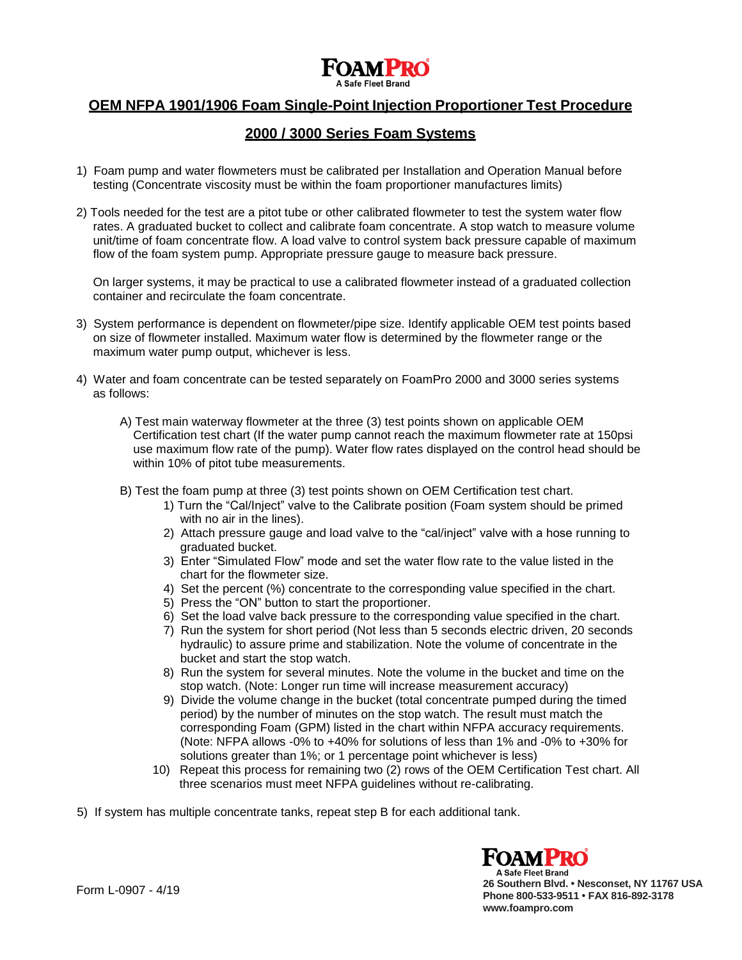**A Safe Fleet Brand** 

# **OEM NFPA 1901/1906 Foam Single-Point Injection Proportioner Test Procedure**

# **2000 / 3000 Series Foam Systems**

- 1) Foam pump and water flowmeters must be calibrated per Installation and Operation Manual before testing (Concentrate viscosity must be within the foam proportioner manufactures limits)
- 2) Tools needed for the test are a pitot tube or other calibrated flowmeter to test the system water flow rates. A graduated bucket to collect and calibrate foam concentrate. A stop watch to measure volume unit/time of foam concentrate flow. A load valve to control system back pressure capable of maximum flow of the foam system pump. Appropriate pressure gauge to measure back pressure.

On larger systems, it may be practical to use a calibrated flowmeter instead of a graduated collection container and recirculate the foam concentrate.

- 3) System performance is dependent on flowmeter/pipe size. Identify applicable OEM test points based on size of flowmeter installed. Maximum water flow is determined by the flowmeter range or the maximum water pump output, whichever is less.
- 4) Water and foam concentrate can be tested separately on FoamPro 2000 and 3000 series systems as follows:
	- A) Test main waterway flowmeter at the three (3) test points shown on applicable OEM Certification test chart (If the water pump cannot reach the maximum flowmeter rate at 150psi use maximum flow rate of the pump). Water flow rates displayed on the control head should be within 10% of pitot tube measurements.
	- B) Test the foam pump at three (3) test points shown on OEM Certification test chart.
		- 1) Turn the "Cal/Inject" valve to the Calibrate position (Foam system should be primed with no air in the lines).
		- 2) Attach pressure gauge and load valve to the "cal/inject" valve with a hose running to graduated bucket.
		- 3) Enter "Simulated Flow" mode and set the water flow rate to the value listed in the chart for the flowmeter size.
		- 4) Set the percent (%) concentrate to the corresponding value specified in the chart.
		- 5) Press the "ON" button to start the proportioner.
		- 6) Set the load valve back pressure to the corresponding value specified in the chart.
		- 7) Run the system for short period (Not less than 5 seconds electric driven, 20 seconds hydraulic) to assure prime and stabilization. Note the volume of concentrate in the bucket and start the stop watch.
		- 8) Run the system for several minutes. Note the volume in the bucket and time on the stop watch. (Note: Longer run time will increase measurement accuracy)
		- 9) Divide the volume change in the bucket (total concentrate pumped during the timed period) by the number of minutes on the stop watch. The result must match the corresponding Foam (GPM) listed in the chart within NFPA accuracy requirements. (Note: NFPA allows -0% to +40% for solutions of less than 1% and -0% to +30% for solutions greater than 1%; or 1 percentage point whichever is less)
		- 10) Repeat this process for remaining two (2) rows of the OEM Certification Test chart. All three scenarios must meet NFPA guidelines without re-calibrating.

5) If system has multiple concentrate tanks, repeat step B for each additional tank.



**26 Southern Blvd. • Nesconset, NY 11767 USA Phone 800-533-9511 • FAX 816-892-3178 [www.foampro.com](http://www.foampro.com/)**